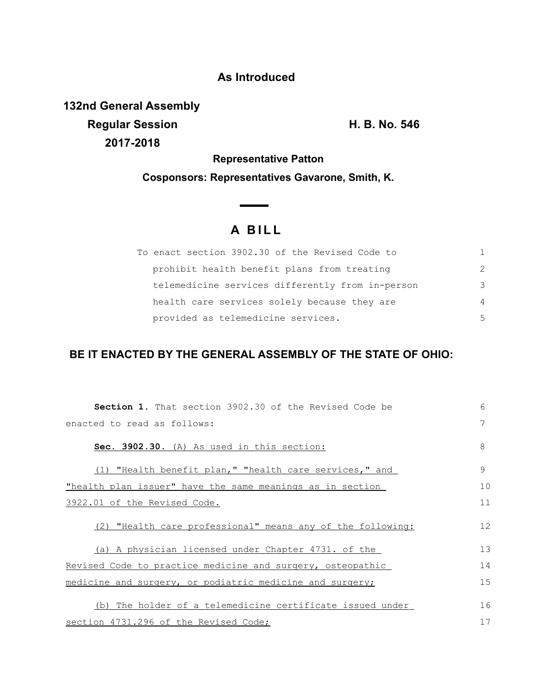## **As Introduced**

**132nd General Assembly Regular Session H. B. No. 546 2017-2018**

**Representative Patton**

**Cosponsors: Representatives Gavarone, Smith, K.**

 $\overline{\phantom{0}}$ 

## **A B I L L**

| To enact section 3902.30 of the Revised Code to  |                |
|--------------------------------------------------|----------------|
| prohibit health benefit plans from treating      | $\mathcal{P}$  |
| telemedicine services differently from in-person | 3              |
| health care services solely because they are     | $\overline{4}$ |
| provided as telemedicine services.               | .5             |

## **BE IT ENACTED BY THE GENERAL ASSEMBLY OF THE STATE OF OHIO:**

| <b>Section 1.</b> That section 3902.30 of the Revised Code be | 6  |
|---------------------------------------------------------------|----|
| enacted to read as follows:                                   | 7  |
| Sec. 3902.30. (A) As used in this section:                    | 8  |
| (1) "Health benefit plan," "health care services," and        | 9  |
| "health plan issuer" have the same meanings as in section     | 10 |
| 3922.01 of the Revised Code.                                  | 11 |
| (2) "Health care professional" means any of the following:    | 12 |
| (a) A physician licensed under Chapter 4731. of the           | 13 |
| Revised Code to practice medicine and surgery, osteopathic    | 14 |
| medicine and surgery, or podiatric medicine and surgery;      | 15 |
| (b) The holder of a telemedicine certificate issued under     | 16 |
| section 4731.296 of the Revised Code;                         | 17 |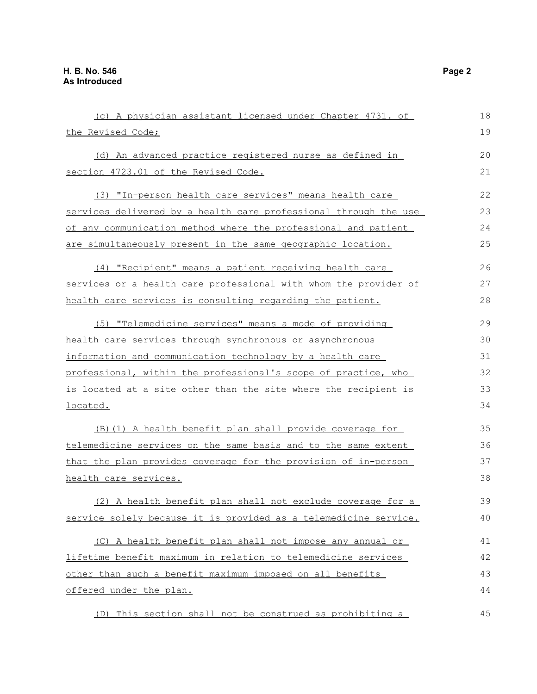| (c) A physician assistant licensed under Chapter 4731. of        | 18 |
|------------------------------------------------------------------|----|
| the Revised Code;                                                | 19 |
| (d) An advanced practice registered nurse as defined in          | 20 |
| section 4723.01 of the Revised Code.                             |    |
| (3) "In-person health care services" means health care           | 22 |
| services delivered by a health care professional through the use | 23 |
| of any communication method where the professional and patient   | 24 |
| are simultaneously present in the same geographic location.      | 25 |
| (4) "Recipient" means a patient receiving health care            | 26 |
| services or a health care professional with whom the provider of | 27 |
| health care services is consulting regarding the patient.        | 28 |
| (5) "Telemedicine services" means a mode of providing            | 29 |
| health care services through synchronous or asynchronous         | 30 |
| information and communication technology by a health care        | 31 |
| professional, within the professional's scope of practice, who   |    |
| is located at a site other than the site where the recipient is  | 33 |
| located.                                                         | 34 |
| (B) (1) A health benefit plan shall provide coverage for         | 35 |
| telemedicine services on the same basis and to the same extent   | 36 |
| that the plan provides coverage for the provision of in-person   | 37 |
| health care services.                                            |    |
| (2) A health benefit plan shall not exclude coverage for a       | 39 |
| service solely because it is provided as a telemedicine service. | 40 |
| (C) A health benefit plan shall not impose any annual or         | 41 |
| lifetime benefit maximum in relation to telemedicine services    | 42 |
| other than such a benefit maximum imposed on all benefits        | 43 |
| offered under the plan.                                          | 44 |
| (D) This section shall not be construed as prohibiting a         | 45 |